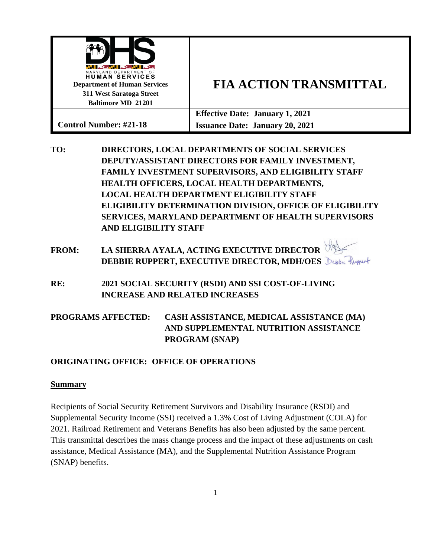| WI ALIWA KEWA KE<br>MARYLAND DEPARTMENT OF<br><b>HUMAN SERVICES</b><br><b>Department of Human Services</b><br>311 West Saratoga Street<br><b>Baltimore MD 21201</b> | <b>FIA ACTION TRANSMITTAL</b>          |
|---------------------------------------------------------------------------------------------------------------------------------------------------------------------|----------------------------------------|
|                                                                                                                                                                     | <b>Effective Date: January 1, 2021</b> |
| <b>Control Number: #21-18</b>                                                                                                                                       | <b>Issuance Date: January 20, 2021</b> |

**TO: DIRECTORS, LOCAL DEPARTMENTS OF SOCIAL SERVICES DEPUTY/ASSISTANT DIRECTORS FOR FAMILY INVESTMENT, FAMILY INVESTMENT SUPERVISORS, AND ELIGIBILITY STAFF HEALTH OFFICERS, LOCAL HEALTH DEPARTMENTS, LOCAL HEALTH DEPARTMENT ELIGIBILITY STAFF ELIGIBILITY DETERMINATION DIVISION, OFFICE OF ELIGIBILITY SERVICES, MARYLAND DEPARTMENT OF HEALTH SUPERVISORS AND ELIGIBILITY STAFF**

# **FROM: LA SHERRA AYALA, ACTING EXECUTIVE DIRECTOR DEBBIE RUPPERT, EXECUTIVE DIRECTOR, MDH/OES** Debba Ruppert

**RE: 2021 SOCIAL SECURITY (RSDI) AND SSI COST-OF-LIVING INCREASE AND RELATED INCREASES**

## **PROGRAMS AFFECTED: CASH ASSISTANCE, MEDICAL ASSISTANCE (MA) AND SUPPLEMENTAL NUTRITION ASSISTANCE PROGRAM (SNAP)**

### **ORIGINATING OFFICE: OFFICE OF OPERATIONS**

#### **Summary**

Recipients of Social Security Retirement Survivors and Disability Insurance (RSDI) and Supplemental Security Income (SSI) received a 1.3% Cost of Living Adjustment (COLA) for 2021. Railroad Retirement and Veterans Benefits has also been adjusted by the same percent. This transmittal describes the mass change process and the impact of these adjustments on cash assistance, Medical Assistance (MA), and the Supplemental Nutrition Assistance Program (SNAP) benefits.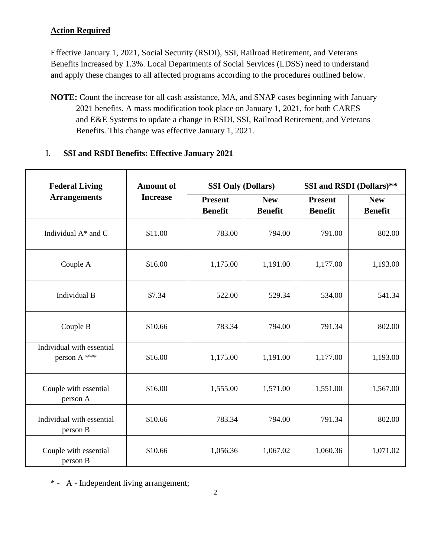### **Action Required**

Effective January 1, 2021, Social Security (RSDI), SSI, Railroad Retirement, and Veterans Benefits increased by 1.3%. Local Departments of Social Services (LDSS) need to understand and apply these changes to all affected programs according to the procedures outlined below.

**NOTE:** Count the increase for all cash assistance, MA, and SNAP cases beginning with January 2021 benefits. A mass modification took place on January 1, 2021, for both CARES and E&E Systems to update a change in RSDI, SSI, Railroad Retirement, and Veterans Benefits. This change was effective January 1, 2021.

#### I. **SSI and RSDI Benefits: Effective January 2021**

| <b>Federal Living</b>                     | <b>Amount of</b> |                | <b>SSI Only (Dollars)</b> |                | SSI and RSDI (Dollars)** |  |
|-------------------------------------------|------------------|----------------|---------------------------|----------------|--------------------------|--|
| <b>Arrangements</b>                       | <b>Increase</b>  | <b>Present</b> | <b>New</b>                | <b>Present</b> | <b>New</b>               |  |
|                                           |                  | <b>Benefit</b> | <b>Benefit</b>            | <b>Benefit</b> | <b>Benefit</b>           |  |
| Individual $A^*$ and C                    | \$11.00          | 783.00         | 794.00                    | 791.00         | 802.00                   |  |
| Couple A                                  | \$16.00          | 1,175.00       | 1,191.00                  | 1,177.00       | 1,193.00                 |  |
| Individual B                              | \$7.34           | 522.00         | 529.34                    | 534.00         | 541.34                   |  |
| Couple B                                  | \$10.66          | 783.34         | 794.00                    | 791.34         | 802.00                   |  |
| Individual with essential<br>person A *** | \$16.00          | 1,175.00       | 1,191.00                  | 1,177.00       | 1,193.00                 |  |
| Couple with essential<br>person A         | \$16.00          | 1,555.00       | 1,571.00                  | 1,551.00       | 1,567.00                 |  |
| Individual with essential<br>person B     | \$10.66          | 783.34         | 794.00                    | 791.34         | 802.00                   |  |
| Couple with essential<br>person B         | \$10.66          | 1,056.36       | 1,067.02                  | 1,060.36       | 1,071.02                 |  |

\* - A - Independent living arrangement;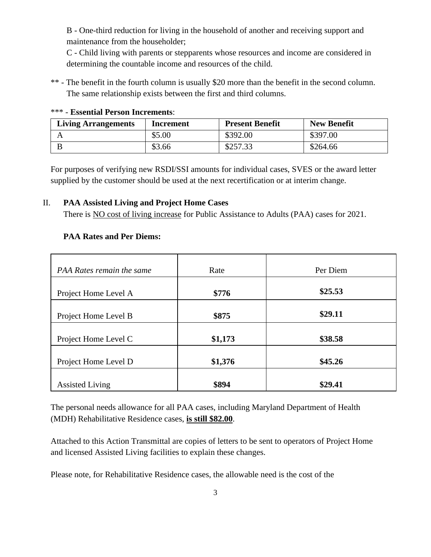B - One-third reduction for living in the household of another and receiving support and maintenance from the householder;

C - Child living with parents or stepparents whose resources and income are considered in determining the countable income and resources of the child.

\*\* - The benefit in the fourth column is usually \$20 more than the benefit in the second column. The same relationship exists between the first and third columns.

| <b>Living Arrangements</b> | Increment | <b>Present Benefit</b> | <b>New Benefit</b> |
|----------------------------|-----------|------------------------|--------------------|
|                            | \$5.00    | \$392.00               | \$397.00           |
|                            | \$3.66    | \$257.33               | \$264.66           |

#### \*\*\* - **Essential Person Increments**:

For purposes of verifying new RSDI/SSI amounts for individual cases, SVES or the award letter supplied by the customer should be used at the next recertification or at interim change.

#### II. **PAA Assisted Living and Project Home Cases**

There is NO cost of living increase for Public Assistance to Adults (PAA) cases for 2021.

#### **PAA Rates and Per Diems:**

| PAA Rates remain the same | Rate    | Per Diem |
|---------------------------|---------|----------|
|                           |         |          |
| Project Home Level A      | \$776   | \$25.53  |
|                           |         |          |
| Project Home Level B      | \$875   | \$29.11  |
|                           |         |          |
| Project Home Level C      | \$1,173 | \$38.58  |
|                           |         |          |
| Project Home Level D      | \$1,376 | \$45.26  |
|                           |         |          |
| <b>Assisted Living</b>    | \$894   | \$29.41  |

The personal needs allowance for all PAA cases, including Maryland Department of Health (MDH) Rehabilitative Residence cases, **is still \$82.00**.

Attached to this Action Transmittal are copies of letters to be sent to operators of Project Home and licensed Assisted Living facilities to explain these changes.

Please note, for Rehabilitative Residence cases, the allowable need is the cost of the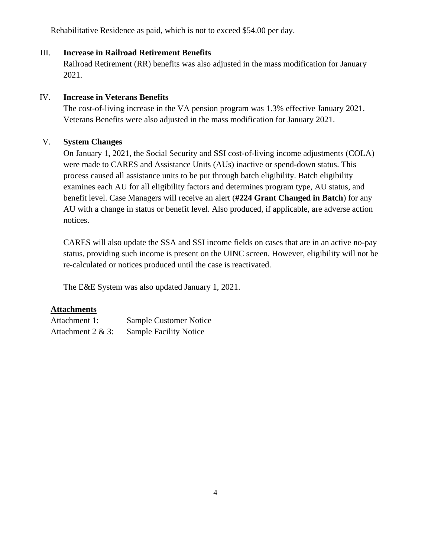Rehabilitative Residence as paid, which is not to exceed \$54.00 per day.

### III. **Increase in Railroad Retirement Benefits**

Railroad Retirement (RR) benefits was also adjusted in the mass modification for January 2021.

### IV. **Increase in Veterans Benefits**

The cost-of-living increase in the VA pension program was 1.3% effective January 2021. Veterans Benefits were also adjusted in the mass modification for January 2021.

### V. **System Changes**

On January 1, 2021, the Social Security and SSI cost-of-living income adjustments (COLA) were made to CARES and Assistance Units (AUs) inactive or spend-down status. This process caused all assistance units to be put through batch eligibility. Batch eligibility examines each AU for all eligibility factors and determines program type, AU status, and benefit level. Case Managers will receive an alert (**#224 Grant Changed in Batch**) for any AU with a change in status or benefit level. Also produced, if applicable, are adverse action notices.

CARES will also update the SSA and SSI income fields on cases that are in an active no-pay status, providing such income is present on the UINC screen. However, eligibility will not be re-calculated or notices produced until the case is reactivated.

The E&E System was also updated January 1, 2021.

### **Attachments**

| Attachment 1:        | <b>Sample Customer Notice</b> |
|----------------------|-------------------------------|
| Attachment $2 & 3$ : | <b>Sample Facility Notice</b> |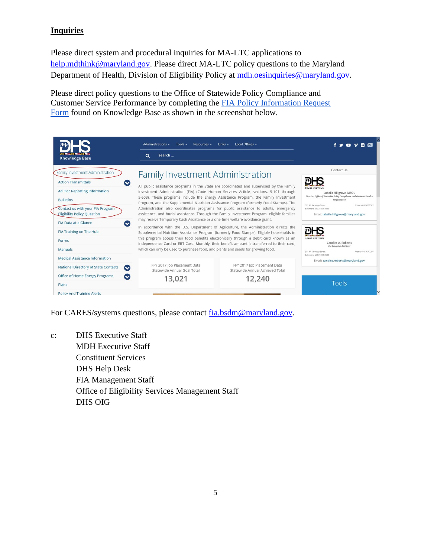### **Inquiries**

Please direct system and procedural inquiries for MA-LTC applications to [help.mdthink@maryland.gov.](mailto:help.mdthink@maryland.gov) Please direct MA-LTC policy questions to the Maryland Department of Health, Division of Eligibility Policy at [mdh.oesinquiries@maryland.gov.](file:///C:/Users/Owner/Downloads/mdh.oesinquiries@maryland.gov)

Please direct policy questions to the Office of Statewide Policy Compliance and Customer Service Performance by completing th[e](http://kb.dhs.maryland.gov/family-investment-administration/contact-us-with-your-fia-program-eligibility-policy-question/) [FIA Policy Information Request](https://kb.dhs.maryland.gov/family-investment-administration/contact-us-with-your-fia-program-eligibility-policy-question/)  [Form](https://kb.dhs.maryland.gov/family-investment-administration/contact-us-with-your-fia-program-eligibility-policy-question/) found on Knowledge Base as shown in the screenshot below.



For CARES/systems questions, please contact [fia.bsdm@maryland.gov.](mailto:fia.bsdm@maryland.gov)

c: DHS Executive Staff MDH Executive Staff Constituent Services DHS Help Desk FIA Management Staff Office of Eligibility Services Management Staff DHS OIG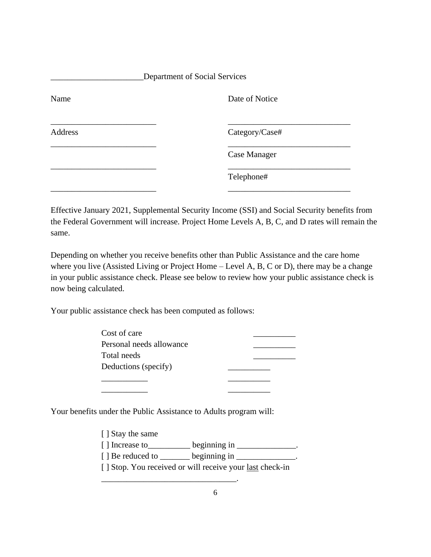| Department of Social Services |                     |  |
|-------------------------------|---------------------|--|
| Name                          | Date of Notice      |  |
| Address                       | Category/Case#      |  |
|                               | <b>Case Manager</b> |  |
|                               | Telephone#          |  |
|                               |                     |  |

Effective January 2021, Supplemental Security Income (SSI) and Social Security benefits from the Federal Government will increase. Project Home Levels A, B, C, and D rates will remain the same.

Depending on whether you receive benefits other than Public Assistance and the care home where you live (Assisted Living or Project Home – Level A, B, C or D), there may be a change in your public assistance check. Please see below to review how your public assistance check is now being calculated.

Your public assistance check has been computed as follows:

| Cost of care             |  |
|--------------------------|--|
| Personal needs allowance |  |
| Total needs              |  |
| Deductions (specify)     |  |
|                          |  |

Your benefits under the Public Assistance to Adults program will:

[ ] Stay the same  $[ ]$  Increase to \_\_\_\_\_\_\_\_\_\_ beginning in \_\_\_\_\_\_\_\_\_\_\_\_\_.

\_\_\_\_\_\_\_\_\_\_\_ \_\_\_\_\_\_\_\_\_\_

 $[ ]$  Be reduced to \_\_\_\_\_\_\_ beginning in \_\_\_\_\_\_\_\_\_\_\_\_\_.

\_\_\_\_\_\_\_\_\_\_\_\_\_\_\_\_\_\_\_\_\_\_\_\_\_\_\_\_\_\_\_\_.

[ ] Stop. You received or will receive your <u>last</u> check-in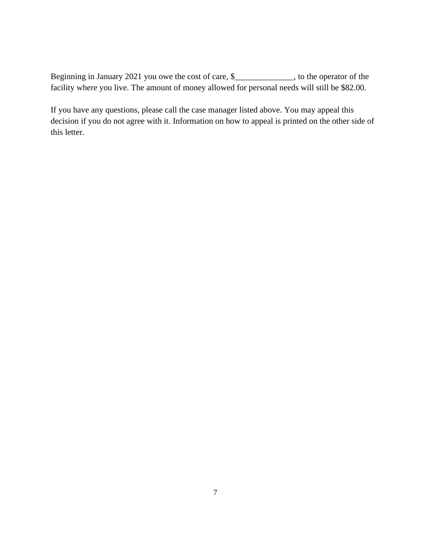Beginning in January 2021 you owe the cost of care, \$\_\_\_\_\_\_\_\_\_\_\_\_, to the operator of the facility where you live. The amount of money allowed for personal needs will still be \$82.00.

If you have any questions, please call the case manager listed above. You may appeal this decision if you do not agree with it. Information on how to appeal is printed on the other side of this letter.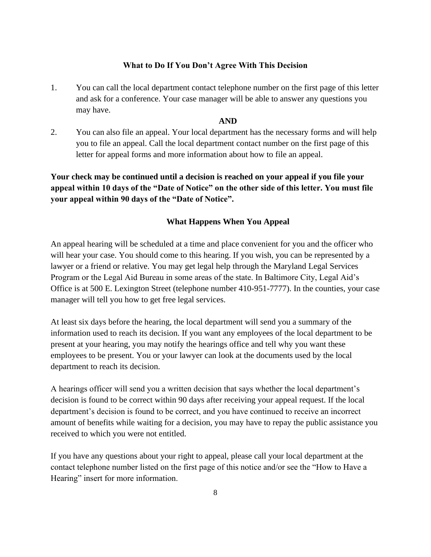#### **What to Do If You Don't Agree With This Decision**

1. You can call the local department contact telephone number on the first page of this letter and ask for a conference. Your case manager will be able to answer any questions you may have.

#### **AND**

2. You can also file an appeal. Your local department has the necessary forms and will help you to file an appeal. Call the local department contact number on the first page of this letter for appeal forms and more information about how to file an appeal.

**Your check may be continued until a decision is reached on your appeal if you file your appeal within 10 days of the "Date of Notice" on the other side of this letter. You must file your appeal within 90 days of the "Date of Notice".** 

#### **What Happens When You Appeal**

An appeal hearing will be scheduled at a time and place convenient for you and the officer who will hear your case. You should come to this hearing. If you wish, you can be represented by a lawyer or a friend or relative. You may get legal help through the Maryland Legal Services Program or the Legal Aid Bureau in some areas of the state. In Baltimore City, Legal Aid's Office is at 500 E. Lexington Street (telephone number 410-951-7777). In the counties, your case manager will tell you how to get free legal services.

At least six days before the hearing, the local department will send you a summary of the information used to reach its decision. If you want any employees of the local department to be present at your hearing, you may notify the hearings office and tell why you want these employees to be present. You or your lawyer can look at the documents used by the local department to reach its decision.

A hearings officer will send you a written decision that says whether the local department's decision is found to be correct within 90 days after receiving your appeal request. If the local department's decision is found to be correct, and you have continued to receive an incorrect amount of benefits while waiting for a decision, you may have to repay the public assistance you received to which you were not entitled.

If you have any questions about your right to appeal, please call your local department at the contact telephone number listed on the first page of this notice and/or see the "How to Have a Hearing" insert for more information.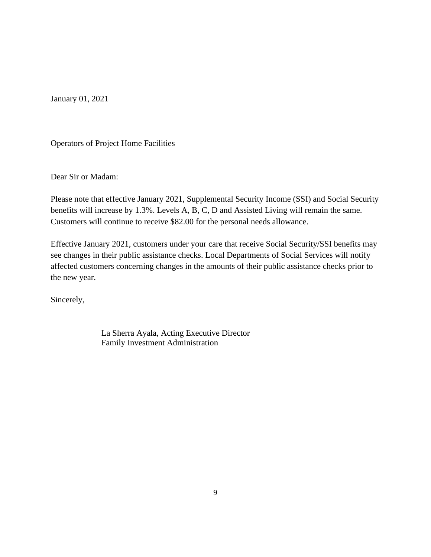January 01, 2021

Operators of Project Home Facilities

Dear Sir or Madam:

Please note that effective January 2021, Supplemental Security Income (SSI) and Social Security benefits will increase by 1.3%. Levels A, B, C, D and Assisted Living will remain the same. Customers will continue to receive \$82.00 for the personal needs allowance.

Effective January 2021, customers under your care that receive Social Security/SSI benefits may see changes in their public assistance checks. Local Departments of Social Services will notify affected customers concerning changes in the amounts of their public assistance checks prior to the new year.

Sincerely,

La Sherra Ayala, Acting Executive Director Family Investment Administration